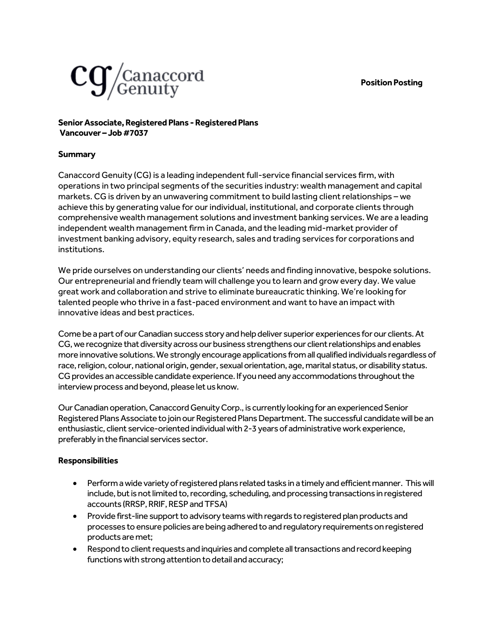### **Position Posting**



# **Senior Associate, Registered Plans -Registered Plans Vancouver –Job #7037**

## **Summary**

Canaccord Genuity (CG) is a leading independent full-service financial services firm, with operations in two principal segments of the securities industry: wealth management and capital markets. CG is driven by an unwavering commitment to build lasting client relationships – we achieve this by generating value for our individual, institutional, and corporate clients through comprehensive wealth management solutions and investment banking services. We are a leading independent wealth management firm in Canada, and the leading mid-market provider of investment banking advisory, equity research, sales and trading services for corporations and institutions.

We pride ourselves on understanding our clients' needs and finding innovative, bespoke solutions. Our entrepreneurial and friendly team will challenge you to learn and grow every day. We value great work and collaboration and strive to eliminate bureaucratic thinking. We're looking for talented people who thrive in a fast-paced environment and want to have an impact with innovative ideas and best practices.

Come be a part of our Canadian success story and help deliver superior experiences for our clients. At CG, we recognize that diversity across our business strengthens our client relationships and enables more innovative solutions. We strongly encourage applications from all qualified individuals regardless of race, religion, colour, national origin, gender, sexual orientation, age, marital status, or disability status. CG provides an accessible candidate experience. If you need any accommodations throughout the interview process and beyond, please let us know.

Our Canadian operation, Canaccord Genuity Corp., is currently looking for an experienced Senior Registered Plans Associate to join our Registered Plans Department. The successful candidate will be an enthusiastic, client service-oriented individual with 2-3 years of administrative work experience, preferably in the financial services sector.

### **Responsibilities**

- Perform a wide variety of registered plans related tasks in a timely and efficient manner. Thiswill include, but is not limited to, recording, scheduling, and processing transactions in registered accounts (RRSP, RRIF, RESP and TFSA)
- Provide first-line support to advisory teams with regards to registered plan products and processes to ensure policies are being adhered to and regulatory requirements on registered products are met;
- Respond to client requests and inquiries and complete all transactions and record keeping functions with strong attention to detail and accuracy;